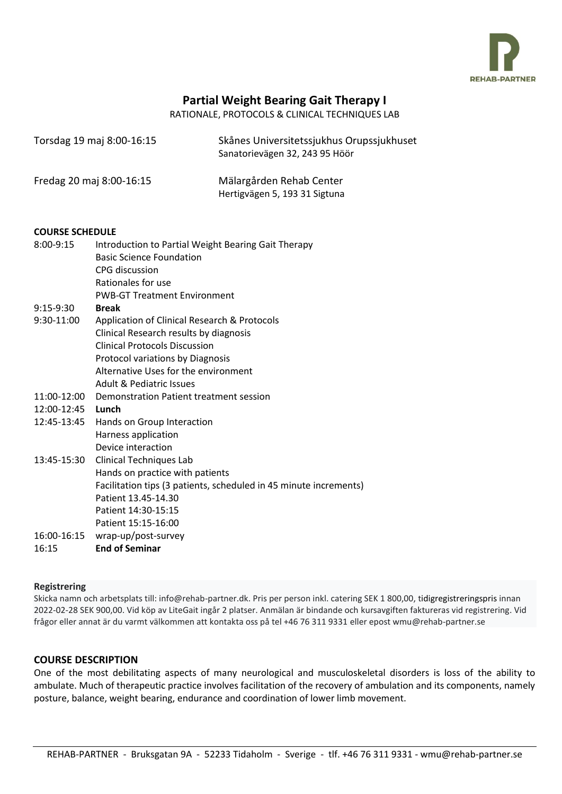

# **Partial Weight Bearing Gait Therapy I**

RATIONALE, PROTOCOLS & CLINICAL TECHNIQUES LAB

| Torsdag 19 maj 8:00-16:15 | Skånes Universitetssjukhus Orupssjukhuset<br>Sanatorievägen 32, 243 95 Höör |
|---------------------------|-----------------------------------------------------------------------------|
| Fredag 20 maj 8:00-16:15  | Mälargården Rehab Center<br>Hertigvägen 5, 193 31 Sigtuna                   |

#### **COURSE SCHEDULE**

| $8:00-9:15$  | Introduction to Partial Weight Bearing Gait Therapy               |
|--------------|-------------------------------------------------------------------|
|              | <b>Basic Science Foundation</b>                                   |
|              | CPG discussion                                                    |
|              | Rationales for use                                                |
|              | <b>PWB-GT Treatment Environment</b>                               |
| $9:15-9:30$  | <b>Break</b>                                                      |
| $9:30-11:00$ | Application of Clinical Research & Protocols                      |
|              | Clinical Research results by diagnosis                            |
|              | <b>Clinical Protocols Discussion</b>                              |
|              | Protocol variations by Diagnosis                                  |
|              | Alternative Uses for the environment                              |
|              | Adult & Pediatric Issues                                          |
| 11:00-12:00  | Demonstration Patient treatment session                           |
| 12:00-12:45  | Lunch                                                             |
| 12:45-13:45  | Hands on Group Interaction                                        |
|              | Harness application                                               |
|              | Device interaction                                                |
| 13:45-15:30  | Clinical Techniques Lab                                           |
|              | Hands on practice with patients                                   |
|              | Facilitation tips (3 patients, scheduled in 45 minute increments) |
|              | Patient 13.45-14.30                                               |
|              | Patient 14:30-15:15                                               |
|              | Patient 15:15-16:00                                               |
| 16:00-16:15  | wrap-up/post-survey                                               |
| 16:15        | <b>End of Seminar</b>                                             |
|              |                                                                   |

#### **Registrering**

Skicka namn och arbetsplats till: info@rehab-partner.dk. Pris per person inkl. catering SEK 1 800,00, tidigregistreringspris innan 2022-02-28 SEK 900,00. Vid köp av LiteGait ingår 2 platser. Anmälan är bindande och kursavgiften faktureras vid registrering. Vid frågor eller annat är du varmt välkommen att kontakta oss på tel +46 76 311 9331 eller epost wmu@rehab-partner.se

## **COURSE DESCRIPTION**

One of the most debilitating aspects of many neurological and musculoskeletal disorders is loss of the ability to ambulate. Much of therapeutic practice involves facilitation of the recovery of ambulation and its components, namely posture, balance, weight bearing, endurance and coordination of lower limb movement.